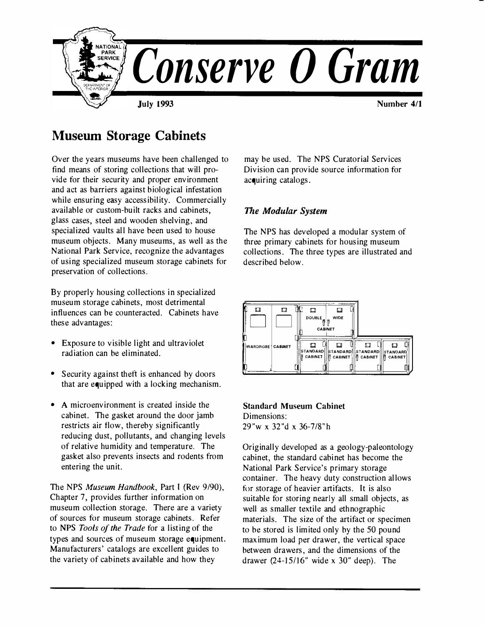

# **Museum Storage Cabinets**

Over the years museums have been challenged to find means of storing collections that will provide for their security and proper environment and act as barriers against biological infestation while ensuring easy accessibility. Commercially available or custom-built racks and cabinets, glass cases, steel and wooden shelving, and specialized vaults all have been used to house museum objects. Many museums, as well as the National Park Service, recognize the advantages of using specialized museum storage cabinets for preservation of collections.

By properly housing collections in specialized museum storage cabinets, most detrimental influences can be counteracted. Cabinets have these advantages:

- Exposure to visible light and ultraviolet radiation can be eliminated.
- Security against theft is enhanced by doors that are equipped with a locking mechanism.
- A microenvironment is created inside the cabinet. The gasket around the door jamb restricts air flow, thereby significantly reducing dust, pollutants, and changing levels of relative humidity and temperature. The gasket also prevents insects and rodents from entering the unit.

The NPS Museum Handbook, Part I (Rev 9/90), Chapter 7, provides further information on museum collection storage. There are a variety of sources for museum storage cabinets. Refer to NPS Tools of the Trade for a listing of the types and sources of museum storage equipment. Manufacturers' catalogs are excellent guides to the variety of cabinets available and how they

may be used. The NPS Curatorial Services Division can provide source information for acquiring catalogs.

## *The Modular System*

The NPS has developed a modular system of three primary cabinets for housing museum collections. The three types are illustrated and described below.



## **Standard Museum Cabinet**  Dimensions: 29"w **X** 32"d **X** 36-7/8"h

Originally developed as a geology-paleontology cabinet, the standard cabinet has become the National Park Service's primary storage container. The heavy duty construction allows for storage of heavier artifacts. It is also suitable for storing nearly all small objects, as well as smaller textile and ethnographic materials. The size of the artifact or specimen to be stored is limited only by the 50 pound maximum load per drawer, the vertical space between drawers, and the dimensions of the drawer  $(24-15/16"$  wide x 30" deep). The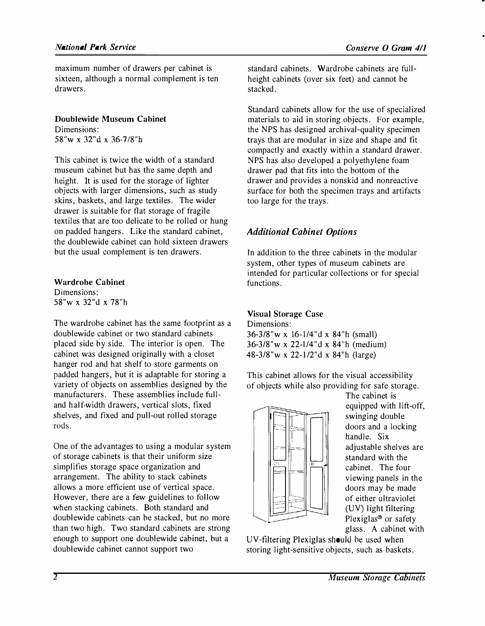**maximum number of drawers per cabinet is sixteen, although a normal complement is ten drawers.** 

**Doublewide Museum Cabinet Dimensions: 58"w X 32"d X 36-7/8"h** 

**This cabinet is twice the width of a standard museum cabinet but has the same depth and height. It is used for the storage of lighter objects with larger dimensions, such as study skins, baskets, and large textiles. The wider drawer is suitable for flat storage of fragile textiles that are too delicate to be rolled or hung on padded hangers. Like the standard cabinet, the doublewide cabinet can hold sixteen drawers but the usual complement is ten drawers.** 

**Wardrobe Cabinet** 

**Dimensions: 58"w** X **32"d** X **78"h** 

**The wardrobe cabinet has the same footprint as a doublewide cabinet or two standard cabinets placed side by side. The interior is open. The cabinet was designed originally with a closet hanger rod and hat shelf to store garments on padded hangers, but it is adaptable for storing a variety of objects on assemblies designed by the manufacturers. These assemblies include fulland half-width drawers, vertical slots, fixed shelves, and fixed and pull-out rolled storage**  rods.

**One of the advantages to using a modular system of storage cabinets is that their uniform size simplifies storage space organization and arrangement. The ability to stack cabinets allows a more efficient use of vertical space. However, there are a few guidelines to follow when stacking cabinets. Both standard and doublewide cabinets can be stacked, but no more than two high. Two standard cabinets are strong enough to support one doublewide cabinet, but a doublewide cabinet cannot support two** 

**standard cabinets. Wardrobe cabinets are fullheight cabinets (over six feet) and cannot be stacked.** 

**Standard cabinets allow for the use of specialized materials to aid in storing objects. For example, the NPS has designed archival-quality specimen trays that are modular in size and shape and fit compactly and exactly within a standard drawer. NPS has also developed a polyethylene foam drawer pad that fits into the bottom of the drawer and provides a nonskid and nonreactive surface for both the specimen trays and artifacts too large for the trays.** 

## *Additional Cabinet Options*

**In addition to the three cabinets in the modular system, other types of museum cabinets are intended for particular collections or for special functions.** 

## **Visual Storage Case**

**Dimensions: 36-3/8"w** x **16-1/4"d** x **84"h (small) 36-3/8"w x 22-l/4"d x 84''h (medium) 48-3/8"w** x **22-1/2"d** x **84"h (large)** 

**This cabinet allows for the visual accessibility of objects while also providing for safe storage.** 



**The cabinet is equipped with lift-off, swinging double**  doors and a locking **handle. Six adjustable shelves are standard with the cabinet. The four viewing panels in the doors may be made of either ultraviolet**  (UV) **light filtering Plexiglas**® **or safety glass. A cabinet with** 

UV-filtering Plexiglas should be **used** when **storing light-sensitive objects, such as baskets.**